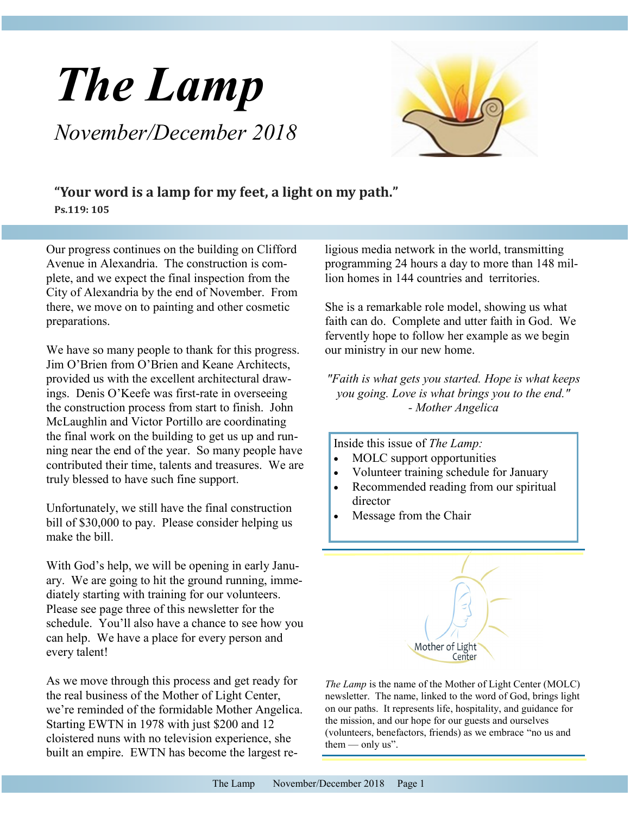# *The Lamp November/December 2018*



### **"Your word is a lamp for my feet, a light on my path." Ps.119: 105**

Our progress continues on the building on Clifford Avenue in Alexandria. The construction is complete, and we expect the final inspection from the City of Alexandria by the end of November. From there, we move on to painting and other cosmetic preparations.

We have so many people to thank for this progress. Jim O'Brien from O'Brien and Keane Architects, provided us with the excellent architectural drawings. Denis O'Keefe was first-rate in overseeing the construction process from start to finish. John McLaughlin and Victor Portillo are coordinating the final work on the building to get us up and running near the end of the year. So many people have contributed their time, talents and treasures. We are truly blessed to have such fine support.

Unfortunately, we still have the final construction bill of \$30,000 to pay. Please consider helping us make the bill.

With God's help, we will be opening in early January. We are going to hit the ground running, immediately starting with training for our volunteers. Please see page three of this newsletter for the schedule. You'll also have a chance to see how you can help. We have a place for every person and every talent!

As we move through this process and get ready for the real business of the Mother of Light Center, we're reminded of the formidable Mother Angelica. Starting EWTN in 1978 with just \$200 and 12 cloistered nuns with no television experience, she built an empire. EWTN has become the largest religious media network in the world, transmitting programming 24 hours a day to more than 148 million homes in 144 countries and territories.

She is a remarkable role model, showing us what faith can do. Complete and utter faith in God. We fervently hope to follow her example as we begin our ministry in our new home.

*"Faith is what gets you started. Hope is what keeps you going. Love is what brings you to the end." - Mother Angelica* 

Inside this issue of *The Lamp:*

- MOLC support opportunities
- Volunteer training schedule for January
- Recommended reading from our spiritual director
- Message from the Chair



*The Lamp* is the name of the Mother of Light Center (MOLC) newsletter. The name, linked to the word of God, brings light on our paths. It represents life, hospitality, and guidance for the mission, and our hope for our guests and ourselves (volunteers, benefactors, friends) as we embrace "no us and them  $-$  only us".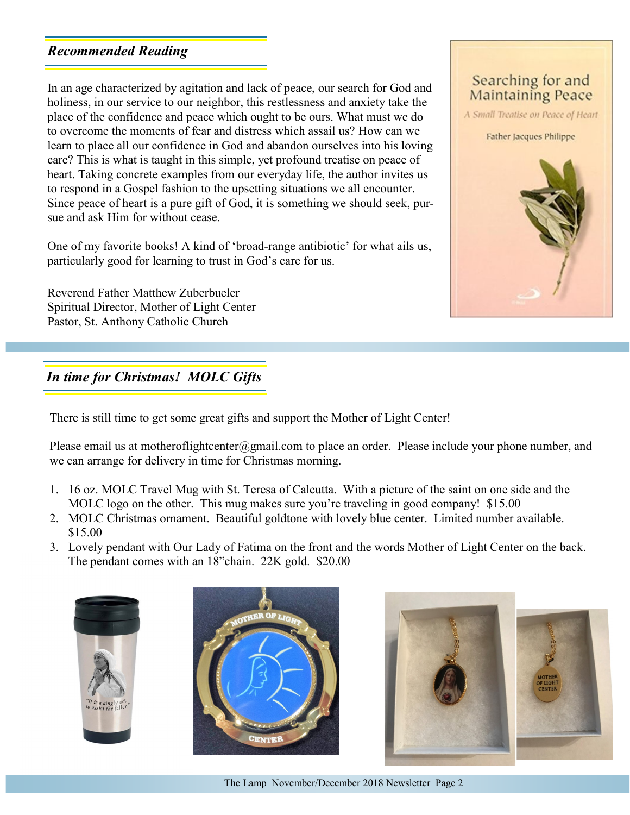# *Recommended Reading*

In an age characterized by agitation and lack of peace, our search for God and holiness, in our service to our neighbor, this restlessness and anxiety take the place of the confidence and peace which ought to be ours. What must we do to overcome the moments of fear and distress which assail us? How can we learn to place all our confidence in God and abandon ourselves into his loving care? This is what is taught in this simple, yet profound treatise on peace of heart. Taking concrete examples from our everyday life, the author invites us to respond in a Gospel fashion to the upsetting situations we all encounter. Since peace of heart is a pure gift of God, it is something we should seek, pursue and ask Him for without cease.

One of my favorite books! A kind of 'broad-range antibiotic' for what ails us, particularly good for learning to trust in God's care for us.

Reverend Father Matthew Zuberbueler Spiritual Director, Mother of Light Center Pastor, St. Anthony Catholic Church

## Searching for and **Maintaining Peace**

A Small Treatise on Peace of Heart

Father Jacques Philippe



# *In time for Christmas! MOLC Gifts*

There is still time to get some great gifts and support the Mother of Light Center!

Please email us at motheroflightcenter@gmail.com to place an order. Please include your phone number, and we can arrange for delivery in time for Christmas morning.

- 1. 16 oz. MOLC Travel Mug with St. Teresa of Calcutta. With a picture of the saint on one side and the MOLC logo on the other. This mug makes sure you're traveling in good company! \$15.00
- 2. MOLC Christmas ornament. Beautiful goldtone with lovely blue center. Limited number available. \$15.00
- 3. Lovely pendant with Our Lady of Fatima on the front and the words Mother of Light Center on the back. The pendant comes with an 18"chain. 22K gold. \$20.00







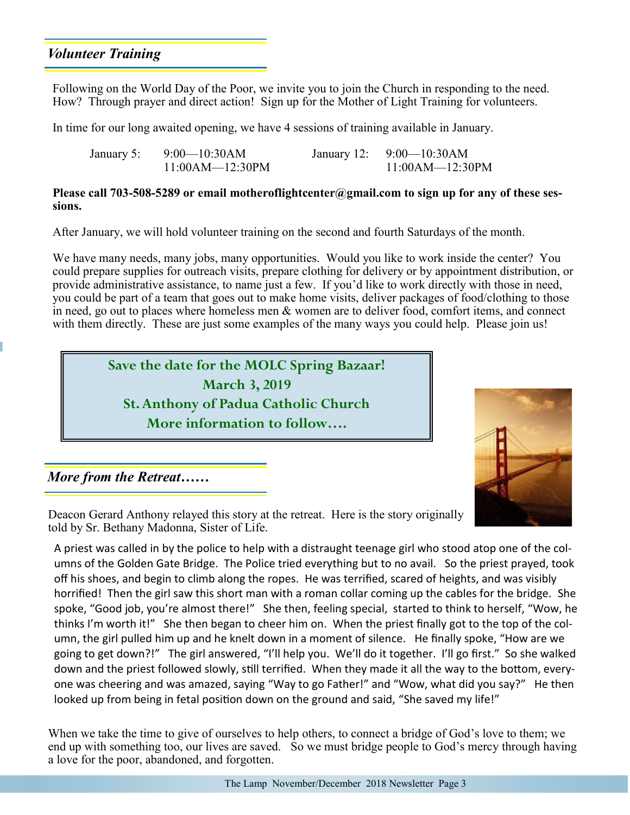## *Volunteer Training*

Following on the World Day of the Poor, we invite you to join the Church in responding to the need. How? Through prayer and direct action! Sign up for the Mother of Light Training for volunteers.

In time for our long awaited opening, we have 4 sessions of training available in January.

| January 5: 9:00—10:30AM | January 12: $9:00-10:30AM$ |
|-------------------------|----------------------------|
| $11:00AM-12:30PM$       | $11:00AM - 12:30PM$        |

#### **Please call 703-508-5289 or email motheroflightcenter@gmail.com to sign up for any of these sessions.**

After January, we will hold volunteer training on the second and fourth Saturdays of the month.

We have many needs, many jobs, many opportunities. Would you like to work inside the center? You could prepare supplies for outreach visits, prepare clothing for delivery or by appointment distribution, or provide administrative assistance, to name just a few. If you'd like to work directly with those in need, you could be part of a team that goes out to make home visits, deliver packages of food/clothing to those in need, go out to places where homeless men & women are to deliver food, comfort items, and connect with them directly. These are just some examples of the many ways you could help. Please join us!





*More from the Retreat……*

Deacon Gerard Anthony relayed this story at the retreat. Here is the story originally told by Sr. Bethany Madonna, Sister of Life.

A priest was called in by the police to help with a distraught teenage girl who stood atop one of the columns of the Golden Gate Bridge. The Police tried everything but to no avail. So the priest prayed, took off his shoes, and begin to climb along the ropes. He was terrified, scared of heights, and was visibly horrified! Then the girl saw this short man with a roman collar coming up the cables for the bridge. She spoke, "Good job, you're almost there!" She then, feeling special, started to think to herself, "Wow, he thinks I'm worth it!" She then began to cheer him on. When the priest finally got to the top of the column, the girl pulled him up and he knelt down in a moment of silence. He finally spoke, "How are we going to get down?!" The girl answered, "I'll help you. We'll do it together. I'll go first." So she walked down and the priest followed slowly, still terrified. When they made it all the way to the bottom, everyone was cheering and was amazed, saying "Way to go Father!" and "Wow, what did you say?" He then looked up from being in fetal position down on the ground and said, "She saved my life!"

When we take the time to give of ourselves to help others, to connect a bridge of God's love to them; we end up with something too, our lives are saved. So we must bridge people to God's mercy through having a love for the poor, abandoned, and forgotten.